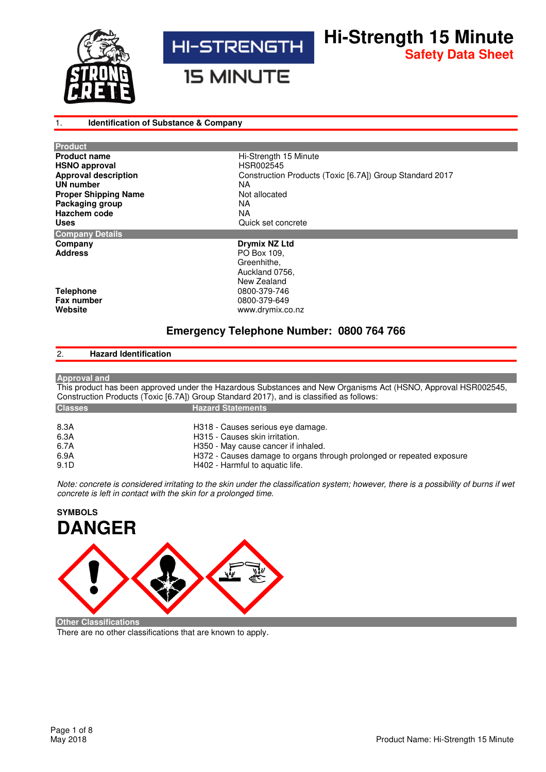



**Hi-Strength 15 Minute Safety Data Sheet**

**15 MINUTE** 

## 1. **Identification of Substance & Company**

| <b>Product</b>              |                                                          |
|-----------------------------|----------------------------------------------------------|
| <b>Product name</b>         | Hi-Strength 15 Minute                                    |
| <b>HSNO approval</b>        | HSR002545                                                |
| <b>Approval description</b> | Construction Products (Toxic [6.7A]) Group Standard 2017 |
| <b>UN number</b>            | NА                                                       |
| <b>Proper Shipping Name</b> | Not allocated                                            |
| Packaging group             | NA.                                                      |
| Hazchem code                | NA                                                       |
| <b>Uses</b>                 | Quick set concrete                                       |
| <b>Company Details</b>      |                                                          |
| Company                     | Drymix NZ Ltd                                            |
| <b>Address</b>              | PO Box 109.                                              |
|                             | Greenhithe,                                              |
|                             | Auckland 0756,                                           |
|                             | New Zealand                                              |
| <b>Telephone</b>            | 0800-379-746                                             |
| Fax number                  | 0800-379-649                                             |
| Website                     | www.drymix.co.nz                                         |
|                             |                                                          |

# **Emergency Telephone Number: 0800 764 766**

# 2. **Hazard Identification**

| <b>Approval and</b> |                                                                                                                |
|---------------------|----------------------------------------------------------------------------------------------------------------|
|                     | This product has been approved under the Hazardous Substances and New Organisms Act (HSNO, Approval HSR002545, |
|                     | Construction Products (Toxic [6.7A]) Group Standard 2017), and is classified as follows:                       |
| <b>Classes</b>      | <b>Hazard Statements</b>                                                                                       |
|                     |                                                                                                                |
| 8.3A                | H318 - Causes serious eye damage.                                                                              |
| 6.3A                | H315 - Causes skin irritation.                                                                                 |
| 6.7A                | H350 - May cause cancer if inhaled.                                                                            |
| 6.9A                | H372 - Causes damage to organs through prolonged or repeated exposure                                          |
| 9.1D                | H402 - Harmful to aquatic life.                                                                                |

*Note: concrete is considered irritating to the skin under the classification system; however, there is a possibility of burns if wet concrete is left in contact with the skin for a prolonged time.* 

# **SYMBOLS DANGER**

**Other Classifications**

There are no other classifications that are known to apply.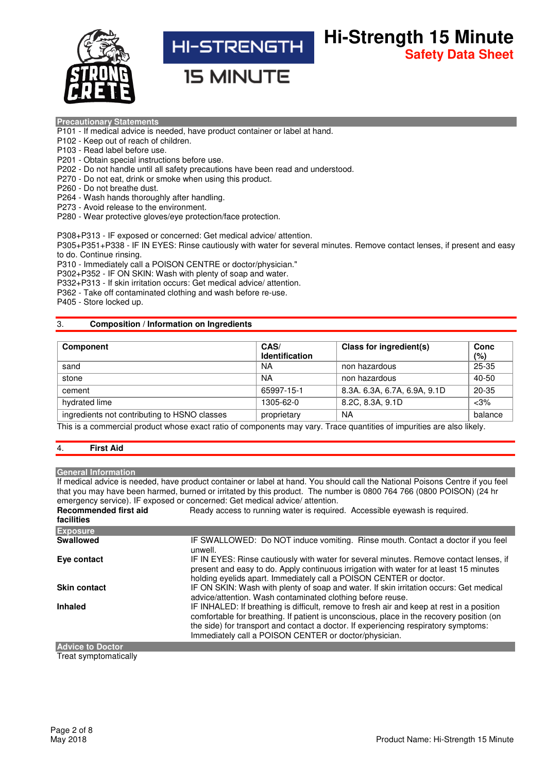

**Hi-Strength 15 Minute** HI-STRENGTH **Safety Data Sheet**

**15 MINUTE** 

## **Precautionary Statements**

- P101 If medical advice is needed, have product container or label at hand.
- P102 Keep out of reach of children.
- P103 Read label before use.
- P201 Obtain special instructions before use.
- P202 Do not handle until all safety precautions have been read and understood.
- P270 Do not eat, drink or smoke when using this product.
- P260 Do not breathe dust.
- P264 Wash hands thoroughly after handling.
- P273 Avoid release to the environment.
- P280 Wear protective gloves/eye protection/face protection.

P308+P313 - IF exposed or concerned: Get medical advice/ attention.

P305+P351+P338 - IF IN EYES: Rinse cautiously with water for several minutes. Remove contact lenses, if present and easy to do. Continue rinsing.

P310 - Immediately call a POISON CENTRE or doctor/physician."

P302+P352 - IF ON SKIN: Wash with plenty of soap and water.

P332+P313 - If skin irritation occurs: Get medical advice/ attention.

P362 - Take off contaminated clothing and wash before re-use.

P405 - Store locked up.

## 3. **Composition / Information on Ingredients**

| <b>Component</b>                             | CAS/<br><b>Identification</b> | Class for ingredient(s)      | Conc<br>$(\% )$ |
|----------------------------------------------|-------------------------------|------------------------------|-----------------|
| sand                                         | NA                            | non hazardous                | 25-35           |
| stone                                        | <b>NA</b>                     | non hazardous                | 40-50           |
| cement                                       | 65997-15-1                    | 8.3A. 6.3A, 6.7A, 6.9A, 9.1D | $20 - 35$       |
| hydrated lime                                | 1305-62-0                     | 8.2C, 8.3A, 9.1D             | $<$ 3%          |
| ingredients not contributing to HSNO classes | proprietary                   | <b>NA</b>                    | balance         |

This is a commercial product whose exact ratio of components may vary. Trace quantities of impurities are also likely.

## 4. **First Aid**

### **General Information**

If medical advice is needed, have product container or label at hand. You should call the National Poisons Centre if you feel that you may have been harmed, burned or irritated by this product. The number is 0800 764 766 (0800 POISON) (24 hr emergency service). IF exposed or concerned: Get medical advice/ attention. **Recommended first aid**  Ready access to running water is required. Accessible eyewash is required.

| facilities                          |                                                                                                                                                                                                                                                                                                                                       |  |  |  |
|-------------------------------------|---------------------------------------------------------------------------------------------------------------------------------------------------------------------------------------------------------------------------------------------------------------------------------------------------------------------------------------|--|--|--|
| <b>Exposure</b>                     |                                                                                                                                                                                                                                                                                                                                       |  |  |  |
| <b>Swallowed</b>                    | IF SWALLOWED: Do NOT induce vomiting. Rinse mouth. Contact a doctor if you feel<br>unwell.                                                                                                                                                                                                                                            |  |  |  |
| Eye contact                         | IF IN EYES: Rinse cautiously with water for several minutes. Remove contact lenses, if<br>present and easy to do. Apply continuous irrigation with water for at least 15 minutes<br>holding eyelids apart. Immediately call a POISON CENTER or doctor.                                                                                |  |  |  |
| <b>Skin contact</b>                 | IF ON SKIN: Wash with plenty of soap and water. If skin irritation occurs: Get medical<br>advice/attention. Wash contaminated clothing before reuse.                                                                                                                                                                                  |  |  |  |
| <b>Inhaled</b>                      | IF INHALED: If breathing is difficult, remove to fresh air and keep at rest in a position<br>comfortable for breathing. If patient is unconscious, place in the recovery position (on<br>the side) for transport and contact a doctor. If experiencing respiratory symptoms:<br>Immediately call a POISON CENTER or doctor/physician. |  |  |  |
| <b>ALCOHOL: A REPORT OF A STATE</b> |                                                                                                                                                                                                                                                                                                                                       |  |  |  |

**Advice to Doctor**

Treat symptomatically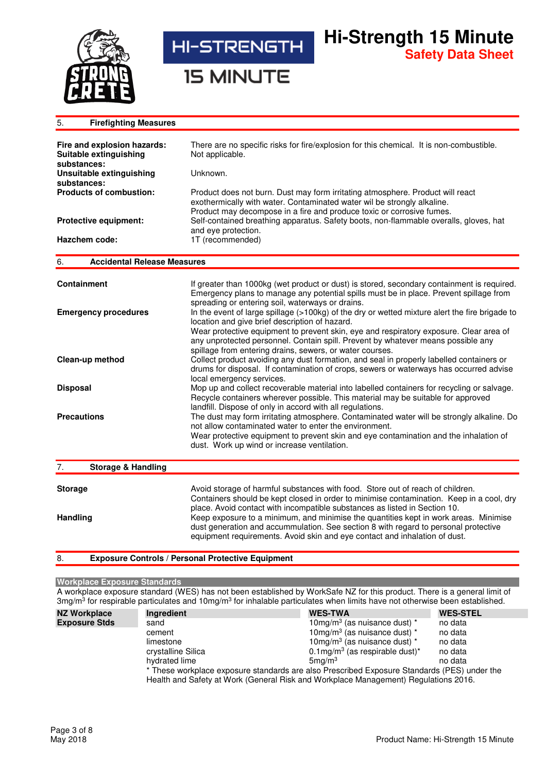

**15 MINUTE** 

| <b>Firefighting Measures</b><br>5.                                   |                                                                                                                                                                                                                                                          |
|----------------------------------------------------------------------|----------------------------------------------------------------------------------------------------------------------------------------------------------------------------------------------------------------------------------------------------------|
| Fire and explosion hazards:<br>Suitable extinguishing<br>substances: | There are no specific risks for fire/explosion for this chemical. It is non-combustible.<br>Not applicable.                                                                                                                                              |
| <b>Unsuitable extinguishing</b>                                      | Unknown.                                                                                                                                                                                                                                                 |
| substances:<br><b>Products of combustion:</b>                        | Product does not burn. Dust may form irritating atmosphere. Product will react<br>exothermically with water. Contaminated water wil be strongly alkaline.<br>Product may decompose in a fire and produce toxic or corrosive fumes.                       |
| <b>Protective equipment:</b>                                         | Self-contained breathing apparatus. Safety boots, non-flammable overalls, gloves, hat                                                                                                                                                                    |
| Hazchem code:                                                        | and eye protection.<br>1T (recommended)                                                                                                                                                                                                                  |
| <b>Accidental Release Measures</b><br>6.                             |                                                                                                                                                                                                                                                          |
| <b>Containment</b>                                                   | If greater than 1000kg (wet product or dust) is stored, secondary containment is required.<br>Emergency plans to manage any potential spills must be in place. Prevent spillage from<br>spreading or entering soil, waterways or drains.                 |
| <b>Emergency procedures</b>                                          | In the event of large spillage (>100kg) of the dry or wetted mixture alert the fire brigade to<br>location and give brief description of hazard.                                                                                                         |
|                                                                      | Wear protective equipment to prevent skin, eye and respiratory exposure. Clear area of<br>any unprotected personnel. Contain spill. Prevent by whatever means possible any<br>spillage from entering drains, sewers, or water courses.                   |
| Clean-up method                                                      | Collect product avoiding any dust formation, and seal in properly labelled containers or<br>drums for disposal. If contamination of crops, sewers or waterways has occurred advise<br>local emergency services.                                          |
| <b>Disposal</b>                                                      | Mop up and collect recoverable material into labelled containers for recycling or salvage.<br>Recycle containers wherever possible. This material may be suitable for approved                                                                           |
| <b>Precautions</b>                                                   | landfill. Dispose of only in accord with all regulations.<br>The dust may form irritating atmosphere. Contaminated water will be strongly alkaline. Do<br>not allow contaminated water to enter the environment.                                         |
|                                                                      | Wear protective equipment to prevent skin and eye contamination and the inhalation of<br>dust. Work up wind or increase ventilation.                                                                                                                     |
| <b>Storage &amp; Handling</b><br>7.                                  |                                                                                                                                                                                                                                                          |
| <b>Storage</b>                                                       | Avoid storage of harmful substances with food. Store out of reach of children.<br>Containers should be kept closed in order to minimise contamination. Keep in a cool, dry<br>place. Avoid contact with incompatible substances as listed in Section 10. |

**Handling Keep exposure to a minimum, and minimise the quantities kept in work areas. Minimise** 

8. **Exposure Controls / Personal Protective Equipment** 

## **Workplace Exposure Standards**

A workplace exposure standard (WES) has not been established by WorkSafe NZ for this product. There is a general limit of 3mg/m<sup>3</sup> for respirable particulates and 10mg/m<sup>3</sup> for inhalable particulates when limits have not otherwise been established.

dust generation and accummulation. See section 8 with regard to personal protective

equipment requirements. Avoid skin and eye contact and inhalation of dust.

| <b>NZ Workplace</b>  | Ingredient                                                                                  | <b>WES-TWA</b>                                        | <b>WES-STEL</b> |  |  |
|----------------------|---------------------------------------------------------------------------------------------|-------------------------------------------------------|-----------------|--|--|
| <b>Exposure Stds</b> | sand                                                                                        | 10mg/m <sup>3</sup> (as nuisance dust) $*$            | no data         |  |  |
|                      | cement                                                                                      | 10mg/m <sup>3</sup> (as nuisance dust) $*$            | no data         |  |  |
|                      | limestone                                                                                   | 10mg/m <sup>3</sup> (as nuisance dust) $*$            | no data         |  |  |
|                      | crystalline Silica                                                                          | $0.1 \text{mg/m}^3$ (as respirable dust) <sup>*</sup> | no data         |  |  |
|                      | hydrated lime                                                                               | $5$ ma/m $3$                                          | no data         |  |  |
|                      | * These workplace exposure standards are also Prescribed Exposure Standards (PES) under the |                                                       |                 |  |  |
|                      | Health and Safety at Work (General Risk and Workplace Management) Regulations 2016.         |                                                       |                 |  |  |

**Hi-Strength 15 Minute**

**Safety Data Sheet**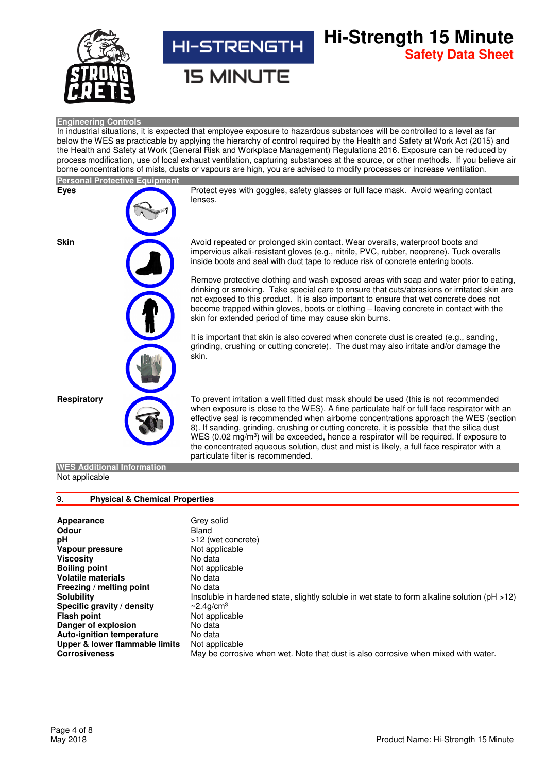

# **Hi-Strength 15 Minute HI-STRENGTH Safety Data Sheet**

**15 MINUTE** 

## **Engineering Controls**

In industrial situations, it is expected that employee exposure to hazardous substances will be controlled to a level as far below the WES as practicable by applying the hierarchy of control required by the Health and Safety at Work Act (2015) and the Health and Safety at Work (General Risk and Workplace Management) Regulations 2016. Exposure can be reduced by process modification, use of local exhaust ventilation, capturing substances at the source, or other methods. If you believe air borne concentrations of mists, dusts or vapours are high, you are advised to modify processes or increase ventilation.

|             | <b>Personal Protective Equipment</b> |                                                                                                                                                                                                                                                                                                                                                                                                                                                                                                                                                                                 |
|-------------|--------------------------------------|---------------------------------------------------------------------------------------------------------------------------------------------------------------------------------------------------------------------------------------------------------------------------------------------------------------------------------------------------------------------------------------------------------------------------------------------------------------------------------------------------------------------------------------------------------------------------------|
| Eyes        |                                      | Protect eyes with goggles, safety glasses or full face mask. Avoid wearing contact<br>lenses.                                                                                                                                                                                                                                                                                                                                                                                                                                                                                   |
| <b>Skin</b> |                                      | Avoid repeated or prolonged skin contact. Wear overalls, waterproof boots and<br>impervious alkali-resistant gloves (e.g., nitrile, PVC, rubber, neoprene). Tuck overalls<br>inside boots and seal with duct tape to reduce risk of concrete entering boots.                                                                                                                                                                                                                                                                                                                    |
|             |                                      | Remove protective clothing and wash exposed areas with soap and water prior to eating,<br>drinking or smoking. Take special care to ensure that cuts/abrasions or irritated skin are<br>not exposed to this product. It is also important to ensure that wet concrete does not<br>become trapped within gloves, boots or clothing - leaving concrete in contact with the<br>skin for extended period of time may cause skin burns.                                                                                                                                              |
|             |                                      | It is important that skin is also covered when concrete dust is created (e.g., sanding,<br>grinding, crushing or cutting concrete). The dust may also irritate and/or damage the<br>skin.                                                                                                                                                                                                                                                                                                                                                                                       |
| Respiratory |                                      | To prevent irritation a well fitted dust mask should be used (this is not recommended<br>when exposure is close to the WES). A fine particulate half or full face respirator with an<br>effective seal is recommended when airborne concentrations approach the WES (section<br>8). If sanding, grinding, crushing or cutting concrete, it is possible that the silica dust<br>WES (0.02 mg/m <sup>3</sup> ) will be exceeded, hence a respirator will be required. If exposure to<br>the concentrated aqueous solution, dust and mist is likely, a full face respirator with a |

## **WES Additional Information** Not applicable

## 9. **Physical & Chemical Properties**

| <b>Appearance</b>                | Grey solid                                                                                         |
|----------------------------------|----------------------------------------------------------------------------------------------------|
| Odour                            | Bland                                                                                              |
| рH                               | >12 (wet concrete)                                                                                 |
| Vapour pressure                  | Not applicable                                                                                     |
| Viscosity                        | No data                                                                                            |
| <b>Boiling point</b>             | Not applicable                                                                                     |
| <b>Volatile materials</b>        | No data                                                                                            |
| Freezing / melting point         | No data                                                                                            |
| Solubility                       | Insoluble in hardened state, slightly soluble in wet state to form alkaline solution ( $pH > 12$ ) |
| Specific gravity / density       | $\sim$ 2.4q/cm <sup>3</sup>                                                                        |
| Flash point                      | Not applicable                                                                                     |
| Danger of explosion              | No data                                                                                            |
| <b>Auto-ignition temperature</b> | No data                                                                                            |
| Upper & lower flammable limits   | Not applicable                                                                                     |
| <b>Corrosiveness</b>             | May be corrosive when wet. Note that dust is also corrosive when mixed with water.                 |
|                                  |                                                                                                    |

particulate filter is recommended.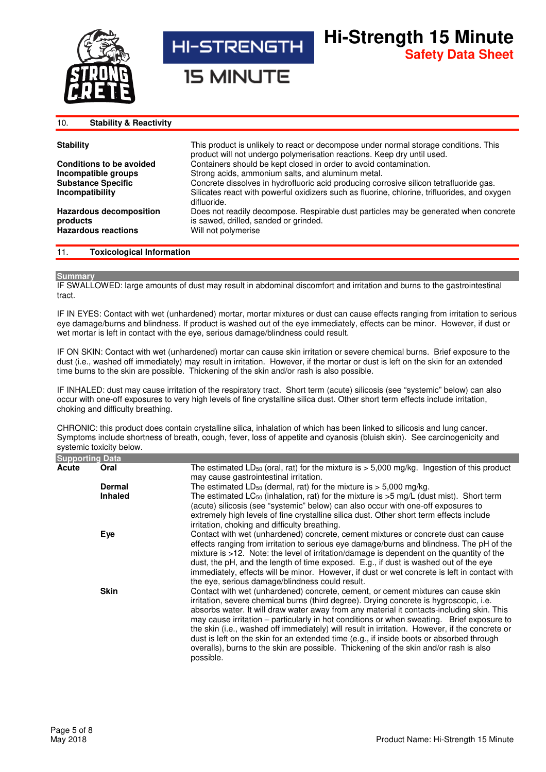

**15 MINUTE** 

#### 10. **Stability & Reactivity Stability** This product is unlikely to react or decompose under normal storage conditions. This product will not undergo polymerisation reactions. Keep dry until used. **Conditions to be avoided** Containers should be kept closed in order to avoid contamination. **Incompatible groups** Strong acids, ammonium salts, and aluminum metal. **Substance Specific Incompatibility**  Concrete dissolves in hydrofluoric acid producing corrosive silicon tetrafluoride gas. Silicates react with powerful oxidizers such as fluorine, chlorine, trifluorides, and oxygen difluoride. **Hazardous decomposition products** Does not readily decompose. Respirable dust particles may be generated when concrete is sawed, drilled, sanded or grinded. **Will not polymerise**

**Hi-Strength 15 Minute**

**Safety Data Sheet**

## 11. **Toxicological Information**

## **Summary**

IF SWALLOWED: large amounts of dust may result in abdominal discomfort and irritation and burns to the gastrointestinal tract.

IF IN EYES: Contact with wet (unhardened) mortar, mortar mixtures or dust can cause effects ranging from irritation to serious eye damage/burns and blindness. If product is washed out of the eye immediately, effects can be minor. However, if dust or wet mortar is left in contact with the eye, serious damage/blindness could result.

IF ON SKIN: Contact with wet (unhardened) mortar can cause skin irritation or severe chemical burns. Brief exposure to the dust (i.e., washed off immediately) may result in irritation. However, if the mortar or dust is left on the skin for an extended time burns to the skin are possible. Thickening of the skin and/or rash is also possible.

IF INHALED: dust may cause irritation of the respiratory tract. Short term (acute) silicosis (see "systemic" below) can also occur with one-off exposures to very high levels of fine crystalline silica dust. Other short term effects include irritation, choking and difficulty breathing.

CHRONIC: this product does contain crystalline silica, inhalation of which has been linked to silicosis and lung cancer. Symptoms include shortness of breath, cough, fever, loss of appetite and cyanosis (bluish skin). See carcinogenicity and systemic toxicity below.

| <b>Supporting Data</b> |                |                                                                                                                                                                                                                                                                                                                                                                                                                                                                                                                                                                                                                                                                           |
|------------------------|----------------|---------------------------------------------------------------------------------------------------------------------------------------------------------------------------------------------------------------------------------------------------------------------------------------------------------------------------------------------------------------------------------------------------------------------------------------------------------------------------------------------------------------------------------------------------------------------------------------------------------------------------------------------------------------------------|
| Acute                  | Oral           | The estimated LD <sub>50</sub> (oral, rat) for the mixture is $>$ 5,000 mg/kg. Ingestion of this product<br>may cause gastrointestinal irritation.                                                                                                                                                                                                                                                                                                                                                                                                                                                                                                                        |
|                        | <b>Dermal</b>  | The estimated $LD_{50}$ (dermal, rat) for the mixture is $> 5,000$ mg/kg.                                                                                                                                                                                                                                                                                                                                                                                                                                                                                                                                                                                                 |
|                        | <b>Inhaled</b> | The estimated LC <sub>50</sub> (inhalation, rat) for the mixture is $>5$ mg/L (dust mist). Short term<br>(acute) silicosis (see "systemic" below) can also occur with one-off exposures to<br>extremely high levels of fine crystalline silica dust. Other short term effects include<br>irritation, choking and difficulty breathing.                                                                                                                                                                                                                                                                                                                                    |
|                        | Eye            | Contact with wet (unhardened) concrete, cement mixtures or concrete dust can cause<br>effects ranging from irritation to serious eye damage/burns and blindness. The pH of the<br>mixture is >12. Note: the level of irritation/damage is dependent on the quantity of the<br>dust, the pH, and the length of time exposed. E.g., if dust is washed out of the eye<br>immediately, effects will be minor. However, if dust or wet concrete is left in contact with<br>the eye, serious damage/blindness could result.                                                                                                                                                     |
|                        | <b>Skin</b>    | Contact with wet (unhardened) concrete, cement, or cement mixtures can cause skin<br>irritation, severe chemical burns (third degree). Drying concrete is hygroscopic, i.e.<br>absorbs water. It will draw water away from any material it contacts-including skin. This<br>may cause irritation – particularly in hot conditions or when sweating. Brief exposure to<br>the skin (i.e., washed off immediately) will result in irritation. However, if the concrete or<br>dust is left on the skin for an extended time (e.g., if inside boots or absorbed through<br>overalls), burns to the skin are possible. Thickening of the skin and/or rash is also<br>possible. |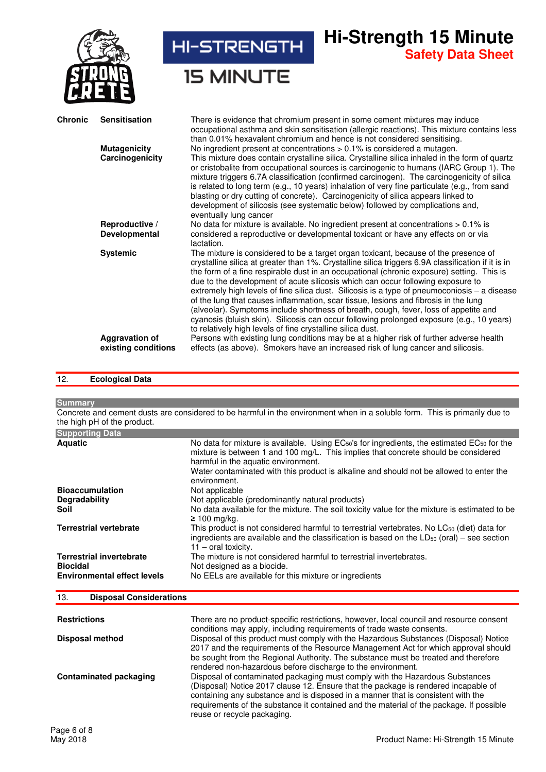

## 12. **Ecological Data**

**Summary**

Concrete and cement dusts are considered to be harmful in the environment when in a soluble form. This is primarily due to the high pH of the product.

| <b>Supporting Data</b>                                                                   |                                                                                                                                                                                                                                           |
|------------------------------------------------------------------------------------------|-------------------------------------------------------------------------------------------------------------------------------------------------------------------------------------------------------------------------------------------|
| <b>Aquatic</b>                                                                           | No data for mixture is available. Using $EC_{50}$ 's for ingredients, the estimated $EC_{50}$ for the<br>mixture is between 1 and 100 mg/L. This implies that concrete should be considered<br>harmful in the aquatic environment.        |
|                                                                                          | Water contaminated with this product is alkaline and should not be allowed to enter the<br>environment.                                                                                                                                   |
| <b>Bioaccumulation</b>                                                                   | Not applicable                                                                                                                                                                                                                            |
| <b>Degradability</b>                                                                     | Not applicable (predominantly natural products)                                                                                                                                                                                           |
| Soil                                                                                     | No data available for the mixture. The soil toxicity value for the mixture is estimated to be<br>$\geq 100$ mg/kg.                                                                                                                        |
| <b>Terrestrial vertebrate</b>                                                            | This product is not considered harmful to terrestrial vertebrates. No LC <sub>50</sub> (diet) data for<br>ingredients are available and the classification is based on the $LD_{50}$ (oral) – see section<br>$11 - \text{oral toxicity.}$ |
| <b>Terrestrial invertebrate</b><br><b>Biocidal</b><br><b>Environmental effect levels</b> | The mixture is not considered harmful to terrestrial invertebrates.<br>Not designed as a biocide.<br>No EELs are available for this mixture or ingredients                                                                                |
|                                                                                          |                                                                                                                                                                                                                                           |

## 13. **Disposal Considerations**

| <b>Restrictions</b><br>Disposal method | There are no product-specific restrictions, however, local council and resource consent<br>conditions may apply, including requirements of trade waste consents.<br>Disposal of this product must comply with the Hazardous Substances (Disposal) Notice                                                                                                                         |
|----------------------------------------|----------------------------------------------------------------------------------------------------------------------------------------------------------------------------------------------------------------------------------------------------------------------------------------------------------------------------------------------------------------------------------|
|                                        | 2017 and the requirements of the Resource Management Act for which approval should<br>be sought from the Regional Authority. The substance must be treated and therefore<br>rendered non-hazardous before discharge to the environment.                                                                                                                                          |
| Contaminated packaging                 | Disposal of contaminated packaging must comply with the Hazardous Substances<br>(Disposal) Notice 2017 clause 12. Ensure that the package is rendered incapable of<br>containing any substance and is disposed in a manner that is consistent with the<br>requirements of the substance it contained and the material of the package. If possible<br>reuse or recycle packaging. |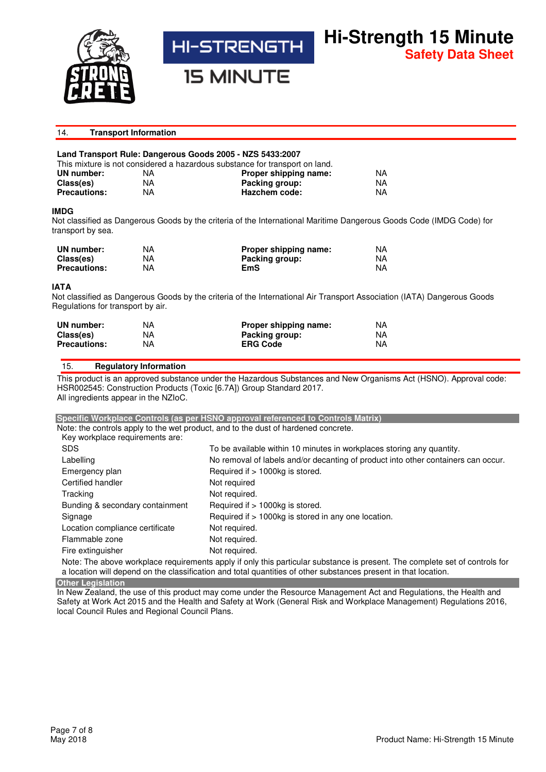

**15 MINUTE** 

# 14. **Transport Information**

**Hi-Strength 15 Minute**

**Safety Data Sheet**

# **Land Transport Rule: Dangerous Goods 2005 - NZS 5433:2007**

|                     |    | This mixture is not considered a hazardous substance for transport on land. |     |
|---------------------|----|-----------------------------------------------------------------------------|-----|
| UN number:          | NA | Proper shipping name:                                                       | NA. |
| Class(es)           | NA | Packing group:                                                              | NA. |
| <b>Precautions:</b> | NA | Hazchem code:                                                               | NA. |

## **IMDG**

Not classified as Dangerous Goods by the criteria of the International Maritime Dangerous Goods Code (IMDG Code) for transport by sea.

| UN number:          | NA. | Proper shipping name: | NA. |
|---------------------|-----|-----------------------|-----|
| Class(es)           | ΝA  | Packing group:        | NA  |
| <b>Precautions:</b> | NА  | EmS                   | NA. |

## **IATA**

Not classified as Dangerous Goods by the criteria of the International Air Transport Association (IATA) Dangerous Goods Regulations for transport by air.

| UN number:          | NА | Proper shipping name: | ΝA |
|---------------------|----|-----------------------|----|
| Class(es)           | NА | Packing group:        | NA |
| <b>Precautions:</b> | ΝA | <b>ERG Code</b>       | NA |

## 15. **Regulatory Information**

This product is an approved substance under the Hazardous Substances and New Organisms Act (HSNO). Approval code: HSR002545: Construction Products (Toxic [6.7A]) Group Standard 2017. All ingredients appear in the NZIoC.

# **Specific Workplace Controls (as per HSNO approval referenced to Controls Matrix)** Note: the controls apply to the wet product, and to the dust of hardened concrete. Key workplace requirements are: SDS SDS To be available within 10 minutes in workplaces storing any quantity. Labelling No removal of labels and/or decanting of product into other containers can occur. Emergency plan Required if > 1000kg is stored. Certified handler Not required Tracking Tracking Tracking Tracking Tracking Tracking Not required. Bunding & secondary containment Required if > 1000kg is stored. Signage Required if > 1000kg is stored in any one location. Location compliance certificate Mot required. Flammable zone Not required. Fire extinguisher Not required.

Note: The above workplace requirements apply if only this particular substance is present. The complete set of controls for a location will depend on the classification and total quantities of other substances present in that location.

**Other Legislation**

In New Zealand, the use of this product may come under the Resource Management Act and Regulations, the Health and Safety at Work Act 2015 and the Health and Safety at Work (General Risk and Workplace Management) Regulations 2016, local Council Rules and Regional Council Plans.